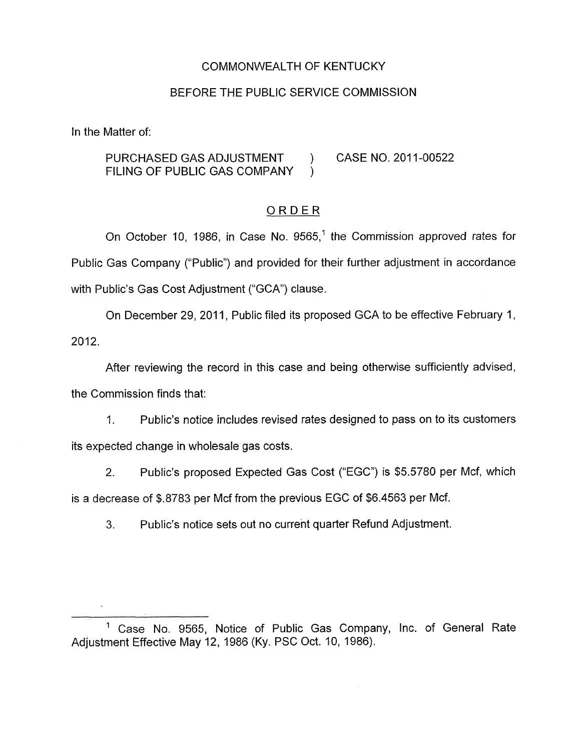### COMMONWEALTH OF KENTUCKY

### BEFORE THE PUBLIC SERVICE COMMISSION

In the Matter of:

PURCHASED GAS ADJUSTMENT ) CASE NO. 2011-00522 FILING OF PUBLIC GAS COMPANY )

## ORDER

On October 10, 1986, in Case No. 9565,<sup>1</sup> the Commission approved rates for Public Gas Company ("Public") and provided for their further adjustment in accordance with Public's Gas Cost Adjustment ("GCA') clause.

On December 29, 2011, Public filed its proposed GCA to be effective February 1, 2012.

After reviewing the record in this case and being otherwise sufficiently advised, the Commission finds that:

I. Public's notice includes revised rates designed to pass on to its customers its expected change in wholesale gas costs.

2. Public's proposed Expected Gas Cost ("EGC") is \$5.5780 per Mcf, which is a decrease of \$.8783 per Mcf from the previous EGC of \$6.4563 per Mcf.

**3.** Public's notice sets out no current quarter Refund Adjustment.

Case No. 9565, Notice of Public Gas Company, Inc. of General Rate Adjustment Effective May 12, 1986 (Ky. PSC Oct. IO, 1986).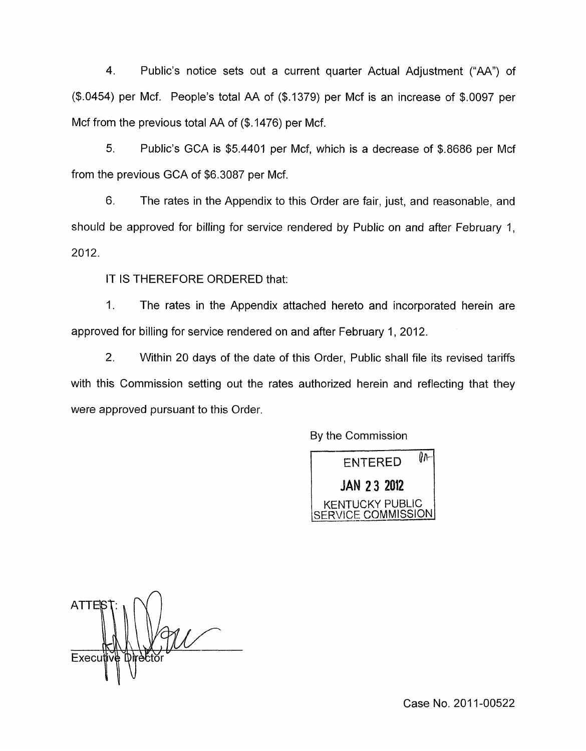4. Public's notice sets out a current quarter Actual Adjustment ("AA") of (\$.0454) per Mcf. People's total AA of (\$.1379) per Mcf is an increase of \$.0097 per Mcf from the previous total AA of (\$.1476) per Mcf.

*5.* Public's GCA is \$5.4401 per Mcf, which is a decrease of \$.8686 per Mcf from the previous GCA of \$6.3087 per Mcf.

6. The rates in the Appendix to this Order are fair, just, and reasonable, and should be approved for billing for service rendered by Public on and after February 1, 2012.

IT IS THEREFORE ORDERED that:

1. The rates in the Appendix attached hereto and incorporated herein are approved for billing for service rendered on and after February 1, 2012.

2. Within 20 days of the date of this Order, Public shall file its revised tariffs with this Commission setting out the rates authorized herein and reflecting that they were approved pursuant to this Order.

By the Commission



**ATTEY Executive** 

Case No. 2011-00522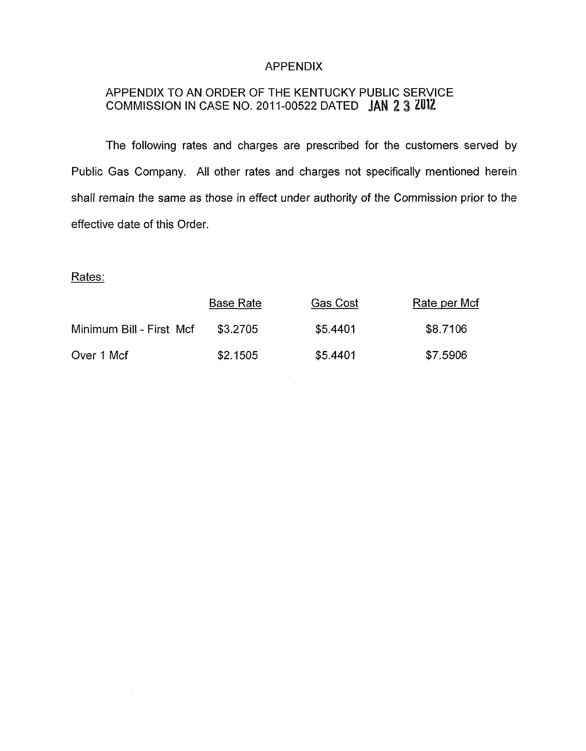### APPENDIX

# APPENDIX TO AN ORDER OF THE KENTUCKY PUBLIC SERVICE COMMISSION IN CASE NO. 2011-00522 DATED JAN 2 3 2012

 $\sim 10$ 

The following rates and charges are prescribed for the customers served by Public Gas Company. All other rates and charges not specifically mentioned herein shall remain the same as those in effect under authority of the *Commission* prior to the effective date of this Order.

Rates:

 $\sim$ 

|                          | <b>Base Rate</b> | <b>Gas Cost</b> | Rate per Mcf |
|--------------------------|------------------|-----------------|--------------|
| Minimum Bill - First Mcf | \$3.2705         | \$5.4401        | \$8.7106     |
| Over 1 Mcf               | \$2.1505         | \$5.4401        | \$7.5906     |